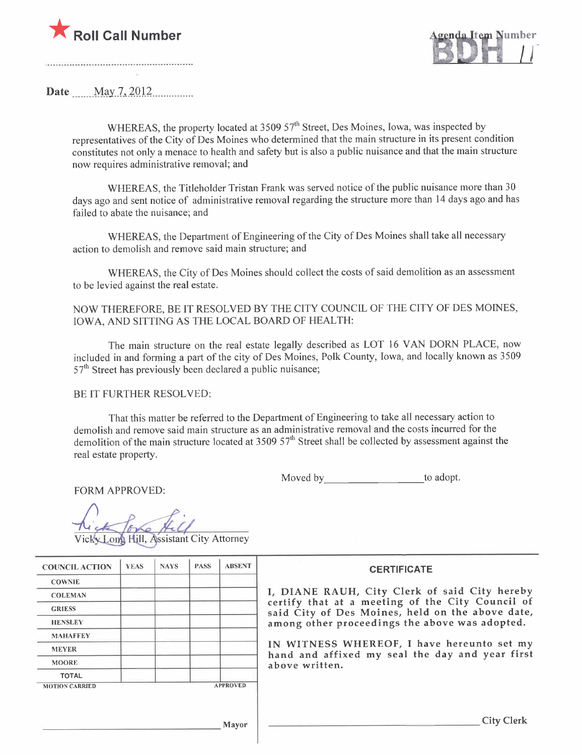

Date  $\frac{\text{May } 7, 2012}{\text{May } 2012}$ 

WHEREAS, the property located at  $3509\,57<sup>th</sup>$  Street, Des Moines, Iowa, was inspected by representatives of the City of Des Moines who determined that the main structure in its present condition constitutes not only a menace to health and safety but is also a public nuisance and that the main structure now requires administrative removal; and

WHEREAS, the Titleholder Tristan Frank was served notice of the public nuisance more than 30 days ago and sent notice of administrative removal regarding the structure more than 14 days ago and has failed to abate the nuisance; and

WHEREAS, the Department of Engineering of the City of Des Moines shall take all necessary action to demolish and remove said main structure; and

WHEREAS, the City of Des Moines should collect the costs of said demolition as an assessment to be levied against the real estate.

NOW THEREFORE, BE IT RESOLVED BY THE CITY COUNCIL OF THE CITY OF DES MOINES, IOWA, AND SITTING AS THE LOCAL BOARD OF HEALTH:

The main structure on the real estate legally described as LOT 16 VAN DORN PLACE, now included in and forming a part of the city of Des Moines, Polk County, Iowa, and locally known as 3509  $57<sup>th</sup>$  Street has previously been declared a public nuisance;

BE IT FURTHER RESOLVED:

That this matter be referred to the Department of Engineering to take all necessary action to demolish and remove said main structure as an administrative removal and the costs incurred for the demolition of the main structure located at 3509  $57<sup>th</sup>$  Street shall be collected by assessment against the real estate property.

Moved by to adopt.

FORM APPROVED:

Vicky Long Hill, Assistant City Attorney

| <b>COUNCIL ACTION</b> | <b>YEAS</b> | <b>NAYS</b> | <b>PASS</b> | <b>ABSENT</b>   |
|-----------------------|-------------|-------------|-------------|-----------------|
| <b>COWNIE</b>         |             |             |             |                 |
| <b>COLEMAN</b>        |             |             |             |                 |
| <b>GRIESS</b>         |             |             |             |                 |
| <b>HENSLEY</b>        |             |             |             |                 |
| <b>MAHAFFEY</b>       |             |             |             |                 |
| <b>MEYER</b>          |             |             |             |                 |
| <b>MOORE</b>          |             |             |             |                 |
| <b>TOTAL</b>          |             |             |             |                 |
| <b>MOTION CARRIED</b> |             |             |             | <b>APPROVED</b> |

**CERTIFICATE** 

DIANE RAUH, City Clerk of said City hereby ertify that at a meeting of the City Council of aid City of Des Moines, held on the above date, among other proceedings the above was adopted.

N WITNESS WHEREOF, I have hereunto set my and and affixed my seal the day and year first bove written.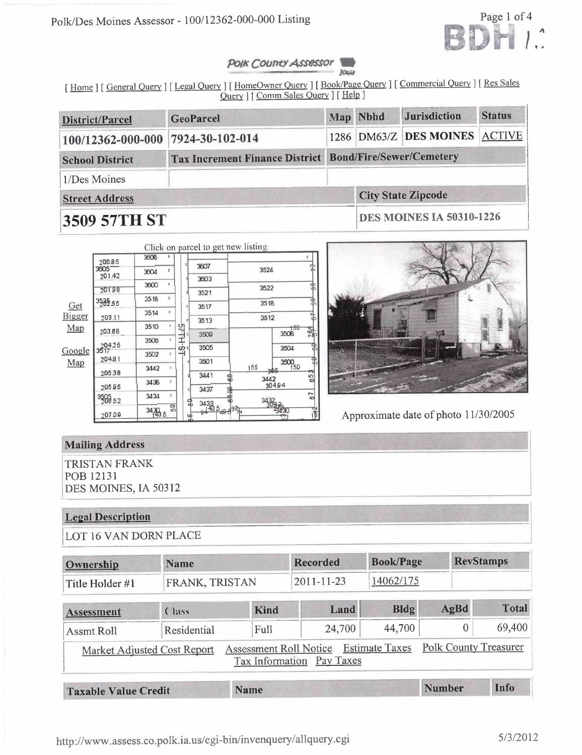

#### Polk County Assessor Jour

[Home ] [General Query ] [Legal Query ] [HomeOwner Query ] [Book/Page Query ] [Commercial Query ] [Res Sales Ouery ] [ Comm Sales Query ] [ Help ]

| <b>District/Parcel</b>                                                            | <b>GeoParcel</b> |  | Map Nbhd                        | <b>Jurisdiction</b>           | <b>Status</b> |  |  |
|-----------------------------------------------------------------------------------|------------------|--|---------------------------------|-------------------------------|---------------|--|--|
| 100/12362-000-000                                                                 | 7924-30-102-014  |  |                                 | 1286 DM63/Z DES MOINES ACTIVE |               |  |  |
| Tax Increment Finance District Bond/Fire/Sewer/Cemetery<br><b>School District</b> |                  |  |                                 |                               |               |  |  |
| 1/Des Moines                                                                      |                  |  |                                 |                               |               |  |  |
| <b>Street Address</b>                                                             |                  |  | <b>City State Zipcode</b>       |                               |               |  |  |
| 3509 57TH ST                                                                      |                  |  | <b>DES MOINES IA 50310-1226</b> |                               |               |  |  |

|               |                    | 3508   |                |                  |                      | Click on parcel to get new listing |                           | ż   |
|---------------|--------------------|--------|----------------|------------------|----------------------|------------------------------------|---------------------------|-----|
|               | 20085              |        |                |                  | 3607                 |                                    |                           |     |
|               | 3505<br>201.42     | 3604   | ÷              |                  | 3603                 | 3524                               |                           |     |
|               | 20198              | 3600   | ÷              |                  | 3521                 | 3522                               |                           |     |
| <u>Get</u>    | 3589.55            | 3518   | ö              |                  | 3517                 | 3518                               |                           |     |
| <b>Bigger</b> | 203.11             | 3514   | ÷              |                  | 3513                 | 3512                               |                           |     |
| Map           | 203.68             | 3510   | ŧ              |                  | 3509                 |                                    | $+50$<br>350 <sub>B</sub> | 264 |
|               | 3517               | 3506   | ¥              | <b>PS-HL-2-L</b> | 3505                 |                                    | 3504                      |     |
| Google<br>Map | 20481              | 3502   | z.             |                  | 3501                 |                                    |                           |     |
|               | 205.38             | 3442   | ÷              |                  | 3441                 | 155<br>юф                          | 3500<br>39                |     |
|               | 20595              | 3438   | ÷              |                  | 3437                 |                                    | 3442<br>30494             | 65  |
|               | $^{3500}_{200}$ 52 | 3434   | Ŧ,             |                  |                      |                                    |                           | 67  |
|               | 207.09             | 3430.5 | $\overline{5}$ |                  | $\frac{3433}{143.5}$ |                                    |                           |     |



Approximate date of photo 11/30/2005

## **Mailing Address**

**TRISTAN FRANK** POB 12131 DES MOINES, IA 50312

# **Legal Description**

LOT 16 VAN DORN PLACE

| <b>Name</b><br>Ownership |                             | <b>Recorded</b> |                                                     | <b>Book/Page</b>      |                | <b>RevStamps</b>             |
|--------------------------|-----------------------------|-----------------|-----------------------------------------------------|-----------------------|----------------|------------------------------|
| Title Holder #1          | FRANK, TRISTAN              |                 | 2011-11-23                                          | 14062/175             |                |                              |
| Assessment               | Class                       | Kind            | Land                                                | <b>Bldg</b>           | AgBd           | <b>Total</b>                 |
| <b>Assmt Roll</b>        | Residential                 | Full            | 24,700                                              | 44,700                | $\overline{0}$ | 69,400                       |
|                          | Market Adjusted Cost Report |                 | Assessment Roll Notice<br>Tax Information Pay Taxes | <b>Estimate Taxes</b> |                | <b>Polk County Treasurer</b> |
| Tovoble Volue Credit     |                             | Name            |                                                     |                       | <b>Number</b>  | Info                         |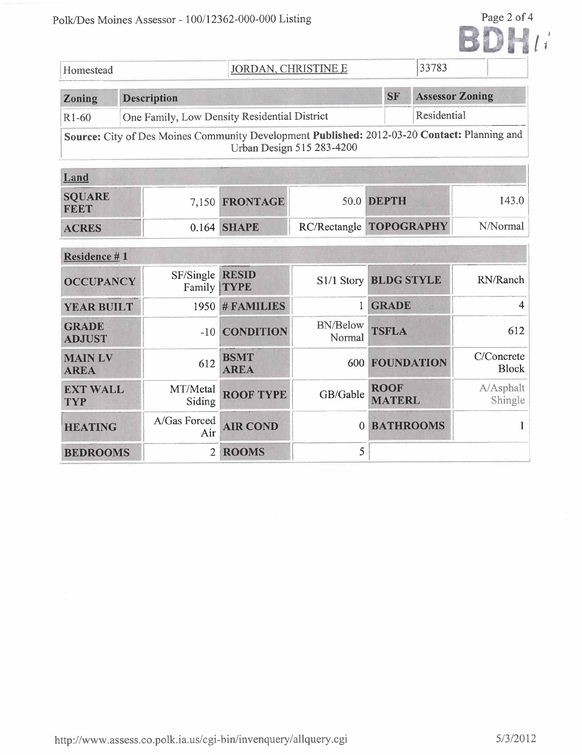|                               | Polk/Des Moines Assessor - 100/12362-000-000 Listing                                         |                            |                           |                              |                        | Page 2 of 4                |
|-------------------------------|----------------------------------------------------------------------------------------------|----------------------------|---------------------------|------------------------------|------------------------|----------------------------|
| Homestead                     |                                                                                              | <b>JORDAN, CHRISTINE E</b> |                           |                              | 33783                  |                            |
| Zoning                        | <b>Description</b>                                                                           |                            |                           | <b>SF</b>                    | <b>Assessor Zoning</b> |                            |
| R <sub>1</sub> -60            | One Family, Low Density Residential District                                                 |                            |                           |                              | Residential            |                            |
|                               | Source: City of Des Moines Community Development Published: 2012-03-20 Contact: Planning and |                            | Urban Design 515 283-4200 |                              |                        |                            |
| Land                          |                                                                                              |                            |                           |                              |                        |                            |
| <b>SQUARE</b><br>FEET         |                                                                                              | 7,150 FRONTAGE             | 50.0                      | <b>DEPTH</b>                 |                        | 143.0                      |
| <b>ACRES</b>                  |                                                                                              | 0.164 SHAPE                |                           | RC/Rectangle TOPOGRAPHY      |                        | N/Normal                   |
| Residence #1                  |                                                                                              |                            |                           |                              |                        |                            |
| <b>OCCUPANCY</b>              | SF/Single<br>Family <b>TYPE</b>                                                              | <b>RESID</b>               | S1/1 Story BLDG STYLE     |                              |                        | RN/Ranch                   |
| <b>YEAR BUILT</b>             | 1950                                                                                         | # FAMILIES                 | $\mathbf{1}$              | <b>GRADE</b>                 |                        | 4                          |
| <b>GRADE</b><br><b>ADJUST</b> | $-10$                                                                                        | <b>CONDITION</b>           | <b>BN/Below</b><br>Normal | <b>TSFLA</b>                 |                        | 612                        |
| <b>MAIN LV</b><br><b>AREA</b> | 612                                                                                          | <b>BSMT</b><br><b>AREA</b> |                           | <b>600 FOUNDATION</b>        |                        | C/Concrete<br><b>Block</b> |
| <b>EXT WALL</b><br><b>TYP</b> | MT/Metal<br>Siding                                                                           | <b>ROOF TYPE</b>           | GB/Gable                  | <b>ROOF</b><br><b>MATERL</b> |                        | A/Asphalt<br>Shingle       |
| <b>HEATING</b>                | A/Gas Forced<br>Air                                                                          | <b>AIR COND</b>            | $\theta$                  | <b>BATHROOMS</b>             |                        | 1                          |
| <b>BEDROOMS</b>               | $\overline{2}$                                                                               | <b>ROOMS</b>               | 5                         |                              |                        |                            |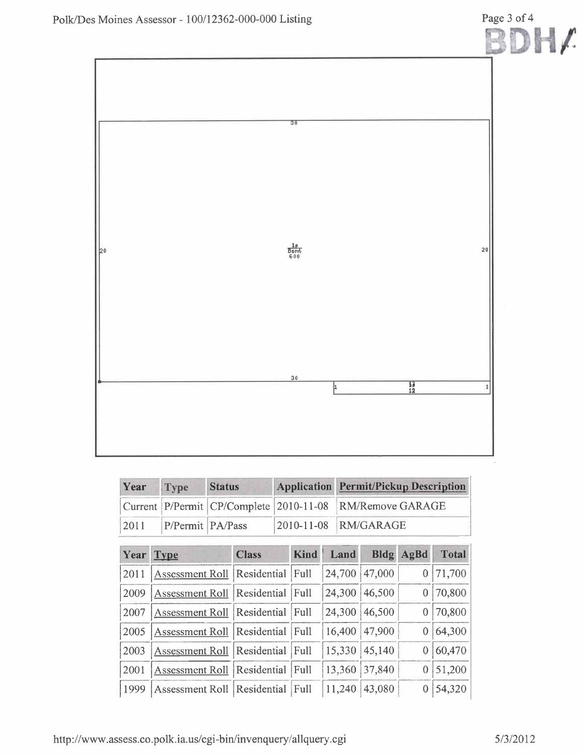

| Year | <b>Status</b><br>Type |  | <b>Application Permit/Pickup Description</b>             |
|------|-----------------------|--|----------------------------------------------------------|
|      |                       |  | Current P/Permit CP/Complete 2010-11-08 RM/Remove GARAGE |
| 2011 | P/Permit PA/Pass      |  | 2010-11-08 RM/GARAGE                                     |

| Year | <b>Type</b>                          | <b>Class</b>     | <b>Kind</b> | Land          | <b>Bldg</b> | AgBd | <b>Total</b> |
|------|--------------------------------------|------------------|-------------|---------------|-------------|------|--------------|
| 2011 | <b>Assessment Roll</b>               | Residential      | Full        | 24,700        | 47,000      |      | 71,700       |
| 2009 | Assessment Roll                      | Residential      | Full        | 24,300        | 46,500      |      | 70,800       |
| 2007 | Assessment Roll Residential          |                  | Full        | 24,300        | 46,500      |      | 70,800       |
| 2005 | Assessment Roll Residential          |                  | Full        | 16,400        | 47,900      |      | 64,300       |
| 2003 | Assessment Roll Residential          |                  | Full        | 15,330 45,140 |             |      | 60,470       |
| 2001 | <b>Assessment Roll</b>               | Residential Full |             | 13,360        | 37,840      |      | 51,200       |
| 1999 | Assessment Roll   Residential   Full |                  |             | 11,240        | 43,080      |      | 54,320       |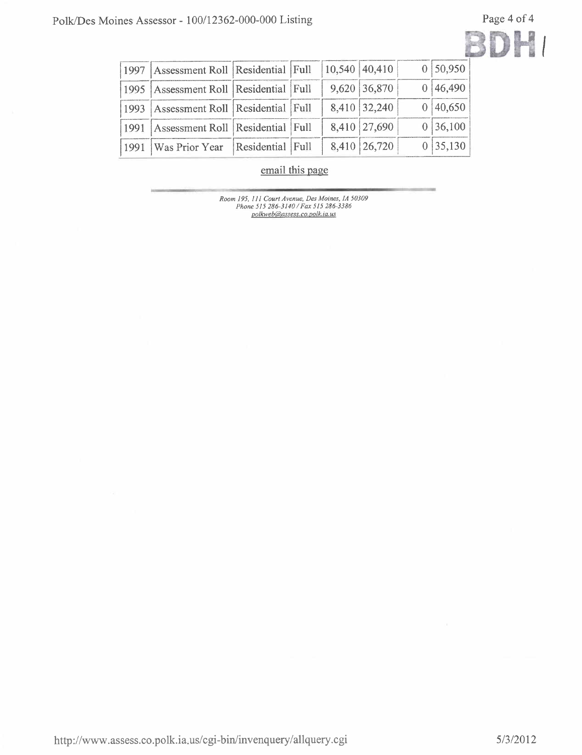

| 1997   Assessment Roll   Residential   Full   10,540   40,410 |  |                | 0 50,950 |
|---------------------------------------------------------------|--|----------------|----------|
| 1995   Assessment Roll   Residential   Full                   |  | 9,620 36,870   | 0 46,490 |
| 1993   Assessment Roll   Residential   Full                   |  | 8,410 32,240   | 0 40,650 |
| [1991   Assessment Roll   Residential   Full                  |  | 8,410 27,690   | 0 36,100 |
| 1991   Was Prior Year   Residential   Full                    |  | 8,410   26,720 | 0 35,130 |

email this page

Room 195, 111 Court Avenue, Des Moines, IA 50309<br>Phone 515 286-3140 / Fax 515 286-3386<br>polkweb@assess.co.polk.ia.us

http://www.assess.co.polk.ia.us/cgi-bin/invenquery/allquery.cgi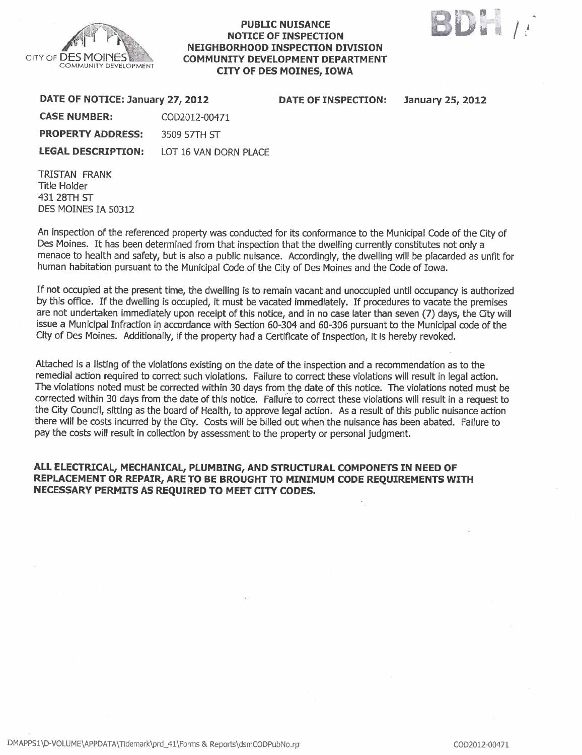

#### PUBLIC NUISANCE NOTICE OF INSPECTION NEIGHBORHOOD INSPECTION DIVISION COMMUNITY DEVELOPMENT DEPARTMENT CITY OF DES MOINES, IOWA



| DATE OF NOTICE: January 27, 2012                |               | DATE OF INSPECTION: | <b>January 25, 2012</b> |
|-------------------------------------------------|---------------|---------------------|-------------------------|
| <b>CASE NUMBER:</b>                             | COD2012-00471 |                     |                         |
| <b>PROPERTY ADDRESS:</b>                        | 3509 57TH ST  |                     |                         |
| <b>LEGAL DESCRIPTION:</b> LOT 16 VAN DORN PLACE |               |                     |                         |
|                                                 |               |                     |                         |

TRISTAN FRANK Title Holder 431 28TH ST DES MOINES IA 50312

An inspection of the referenced property was conducted for its conformance to the Municipal Code of the City of Des Moines. It has been determined from that inspection that the dwelling currently constitutes not only a menace to health and safety, but is also a public nuisance. Accordingly, the dwelling wil be placarded as unfit for human habitation pursuant to the Municipal Code of the City of Des Moines and the Code of Iowa.

If not occupied at the present time, the dwellng is to remain vacant and unoccupied until occupancy is authorized by this office. If the dwelling is occupied, it must be vacated immediately. If procedures to vacate the premises are not undertaken immediately upon receipt of this notice, and in no case later than seven (7) days, the City will issue a Municipal Infraction in accordance with Secion 60-304 and 60-306 pursuant to the Municipal code of the City of Des Moines. Additionally, if the property had a Certificate of Inspection, it is hereby revoked.

Attached is a listing of the violations existing on the date of the inspection and a recommendation as to the remedial action required to correct such violations. Failure to correct these violations wil result in legal action. The violations noted must be corrected within 30 days from the date of this notice. The violations noted must be corrected within 30 days from the date of this notice. Failurè to correct these violations will result in a request to the City Council, sitting as the board of Health, to approve legal action. As a result of this public nuisance action there will be costs incurred by the City. Costs will be billed out when the nuisance has been abated. Failure to pay the costs will result in collection by assessment to the property or personal judgment.

### ALL ELECTRICAL, MECHANICAL, PLUMBING, AND STRUCTURAL COMPONETS IN NEED OF REPLACEMENT OR REPAIR, ARE TO BE BROUGHT TO MINIMUM CODE REQUIREMENTS WITH NECESSARY PERMITS AS REQUIRED TO MEET CITY CODES.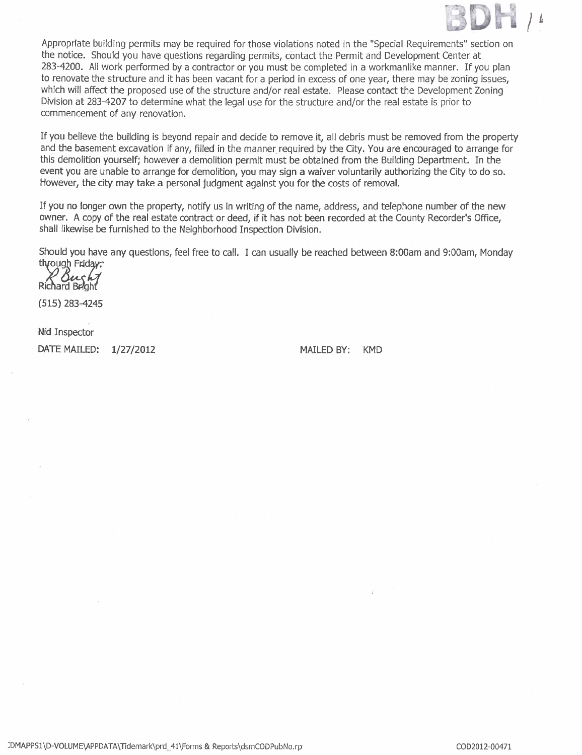

Appropriate building permits may be required for those violations noted in the "Special Requirements" section on the notice. Should you have questions regarding permits, contact the Permit and Development Center at 283-4200. All work performed by a contractor or you must be completed in a workmanlike manner. If you plan to renovate the structure and it has been vacant for a period in excess of one year, there may be zoning issues, which will affect the proposed use of the structure and/or real estate. Please contact the Development Zoning Division at 283-4207 to determine what the legal use for the structure and/or the real estate is prior to commencement of any renovation.

If you believe the building is beyond repair and decide to remove it, all debris must be removed from the propert and the basement excavation if any, filled in the manner required by the City. You are encouraged to arrange for this demolition yourself; however a demolition permit must be obtained from the Building Department. In the event you are unable to arrange for demolition, you may sign a waiver voluntarily authorizing the City to do so. However, the city may take a personal judgment against you for the costs of removaL.

If you no longer own the property, notify us in writing of the name, address, and telephone number of the new owner. A copy of the real estate contract or deed, if it has not been recorded at the County Recorder's Office, shall likewise be furnished to the Neighborhood Inspection Division.

Should you have any questions, feel free to calL. I can usually be reached between 8:00am and 9:00am, Monday through Friday:

Richard Bright

(515) 283-4245

Nid Inspector

DATE MAILED: 1/27/2012 MAILED BY: KMD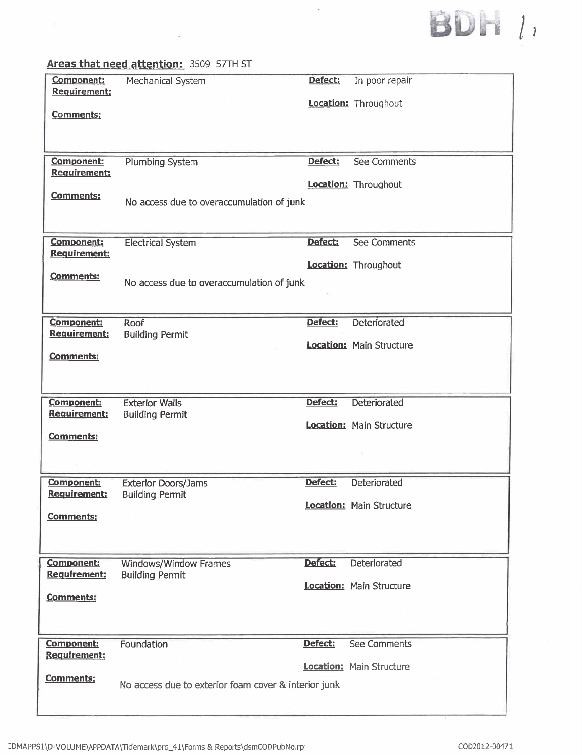

### Areas that need attention: 3509 57TH ST

 $\sim$ 

| Component:<br><b>Requirement:</b><br><b>Comments:</b>        | Mechanical System                                                     | Defect: | In poor repair<br>Location: Throughout          |
|--------------------------------------------------------------|-----------------------------------------------------------------------|---------|-------------------------------------------------|
| Component:<br><b>Requirement:</b><br><b>Comments:</b>        | <b>Plumbing System</b><br>No access due to overaccumulation of junk   | Defect: | <b>See Comments</b><br>Location: Throughout     |
| <b>Component:</b><br><b>Requirement:</b><br><b>Comments:</b> | <b>Electrical System</b><br>No access due to overaccumulation of junk | Defect: | <b>See Comments</b><br>Location: Throughout     |
| <b>Component:</b><br><b>Requirement:</b><br><b>Comments:</b> | Roof<br><b>Building Permit</b>                                        | Defect: | Deteriorated<br>Location: Main Structure        |
| Component:<br><b>Requirement:</b><br><b>Comments:</b>        | <b>Exterior Walls</b><br><b>Building Permit</b>                       | Defect: | Deteriorated<br><b>Location: Main Structure</b> |
| Component:<br><b>Requirement:</b><br>Comments:               | <b>Exterior Doors/Jams</b><br><b>Building Permit</b>                  | Defect: | Deteriorated<br><b>Location:</b> Main Structure |
| Component:<br><b>Requirement:</b><br><b>Comments:</b>        | <b>Windows/Window Frames</b><br><b>Building Permit</b>                | Defect: | Deteriorated<br><b>Location: Main Structure</b> |
| <b>Component:</b><br><b>Requirement:</b><br><b>Comments:</b> | Foundation<br>No access due to exterior foam cover & interior junk    | Defect: | See Comments<br><b>Location: Main Structure</b> |